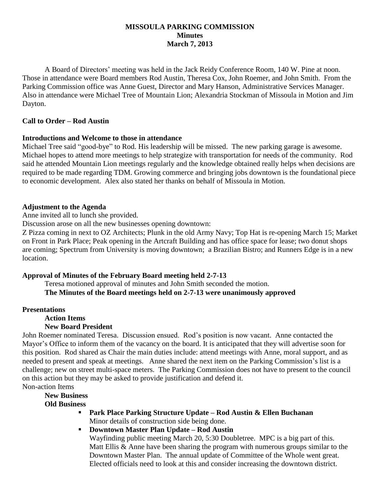#### **MISSOULA PARKING COMMISSION Minutes March 7, 2013**

A Board of Directors' meeting was held in the Jack Reidy Conference Room, 140 W. Pine at noon. Those in attendance were Board members Rod Austin, Theresa Cox, John Roemer, and John Smith. From the Parking Commission office was Anne Guest, Director and Mary Hanson, Administrative Services Manager. Also in attendance were Michael Tree of Mountain Lion; Alexandria Stockman of Missoula in Motion and Jim Dayton.

#### **Call to Order – Rod Austin**

### **Introductions and Welcome to those in attendance**

Michael Tree said "good-bye" to Rod. His leadership will be missed. The new parking garage is awesome. Michael hopes to attend more meetings to help strategize with transportation for needs of the community. Rod said he attended Mountain Lion meetings regularly and the knowledge obtained really helps when decisions are required to be made regarding TDM. Growing commerce and bringing jobs downtown is the foundational piece to economic development. Alex also stated her thanks on behalf of Missoula in Motion.

### **Adjustment to the Agenda**

Anne invited all to lunch she provided.

Discussion arose on all the new businesses opening downtown:

Z Pizza coming in next to OZ Architects; Plunk in the old Army Navy; Top Hat is re-opening March 15; Market on Front in Park Place; Peak opening in the Artcraft Building and has office space for lease; two donut shops are coming; Spectrum from University is moving downtown; a Brazilian Bistro; and Runners Edge is in a new location.

# **Approval of Minutes of the February Board meeting held 2-7-13**

Teresa motioned approval of minutes and John Smith seconded the motion. **The Minutes of the Board meetings held on 2-7-13 were unanimously approved**

# **Presentations**

# **Action Items**

# **New Board President**

John Roemer nominated Teresa. Discussion ensued. Rod's position is now vacant. Anne contacted the Mayor's Office to inform them of the vacancy on the board. It is anticipated that they will advertise soon for this position. Rod shared as Chair the main duties include: attend meetings with Anne, moral support, and as needed to present and speak at meetings. Anne shared the next item on the Parking Commission's list is a challenge; new on street multi-space meters. The Parking Commission does not have to present to the council on this action but they may be asked to provide justification and defend it.

Non-action Items

**New Business**

**Old Business**

- **Park Place Parking Structure Update – Rod Austin & Ellen Buchanan** Minor details of construction side being done.
- **Downtown Master Plan Update – Rod Austin** Wayfinding public meeting March 20, 5:30 Doubletree. MPC is a big part of this. Matt Ellis & Anne have been sharing the program with numerous groups similar to the Downtown Master Plan. The annual update of Committee of the Whole went great. Elected officials need to look at this and consider increasing the downtown district.